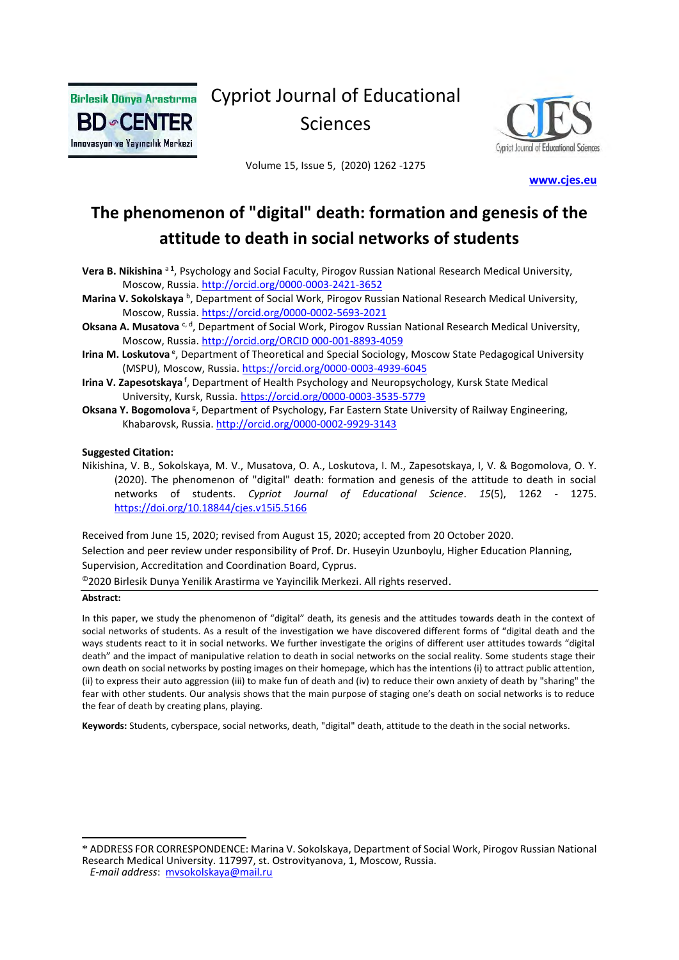

Cypriot Journal of Educational Sciences



Volume 15, Issue 5, (2020) 1262 -1275

 **[www.cjes.eu](http://www.cjes.eu/)**

# **The phenomenon of "digital" death: formation and genesis of the attitude to death in social networks of students**

- Vera B. Nikishina<sup>a1</sup>, Psychology and Social Faculty, Pirogov Russian National Research Medical University, Moscow, Russia.<http://orcid.org/0000-0003-2421-3652>
- Marina V. Sokolskaya <sup>b</sup>, Department of Social Work, Pirogov Russian National Research Medical University, Moscow, Russia.<https://orcid.org/0000-0002-5693-2021>
- Oksana A. Musatova <sup>c, d</sup>, Department of Social Work, Pirogov Russian National Research Medical University, Moscow, Russia. [http://orcid.org/ORCID 000-001-8893-4059](http://orcid.org/ORCID%20000-001-8893-4059)
- Irina M. Loskutova<sup>e</sup>, Department of Theoretical and Special Sociology, Moscow State Pedagogical University (MSPU), Moscow, Russia[. https://orcid.org/0000-0003-4939-6045](https://orcid.org/0000-0003-4939-6045)
- Irina V. Zapesotskaya<sup>f</sup>, Department of Health Psychology and Neuropsychology, Kursk State Medical University, Kursk, Russia. <https://orcid.org/0000-0003-3535-5779>
- Oksana Y. Bogomolova<sup>g</sup>, Department of Psychology, Far Eastern State University of Railway Engineering, Khabarovsk, Russia[. http://orcid.org/0000-0002-9929-3143](http://orcid.org/0000-0002-9929-3143)

#### **Suggested Citation:**

Nikishina, V. B., Sokolskaya, M. V., Musatova, O. A., Loskutova, I. M., Zapesotskaya, I, V. & Bogomolova, O. Y. (2020). The phenomenon of "digital" death: formation and genesis of the attitude to death in social networks of students. *Cypriot Journal of Educational Science*. *15*(5), 1262 - 1275. <https://doi.org/10.18844/cjes.v15i5.5166>

Received from June 15, 2020; revised from August 15, 2020; accepted from 20 October 2020. Selection and peer review under responsibility of Prof. Dr. Huseyin Uzunboylu, Higher Education Planning, Supervision, Accreditation and Coordination Board, Cyprus.

©2020 Birlesik Dunya Yenilik Arastirma ve Yayincilik Merkezi. All rights reserved.

#### **Abstract:**

In this paper, we study the phenomenon of "digital" death, its genesis and the attitudes towards death in the context of social networks of students. As a result of the investigation we have discovered different forms of "digital death and the ways students react to it in social networks. We further investigate the origins of different user attitudes towards "digital death" and the impact of manipulative relation to death in social networks on the social reality. Some students stage their own death on social networks by posting images on their homepage, which has the intentions (i) to attract public attention, (ii) to express their auto aggression (iii) to make fun of death and (iv) to reduce their own anxiety of death by "sharing" the fear with other students. Our analysis shows that the main purpose of staging one's death on social networks is to reduce the fear of death by creating plans, playing.

**Keywords:** Students, cyberspace, social networks, death, "digital" death, attitude to the death in the social networks.

<sup>\*</sup> ADDRESS FOR CORRESPONDENCE: Marina V. Sokolskaya, Department of Social Work, Pirogov Russian National Research Medical University. 117997, st. Ostrovityanova, 1, Moscow, Russia.

*E-mail address*: [mvsokolskaya@mail.ru](mailto:mvsokolskaya@mail.ru)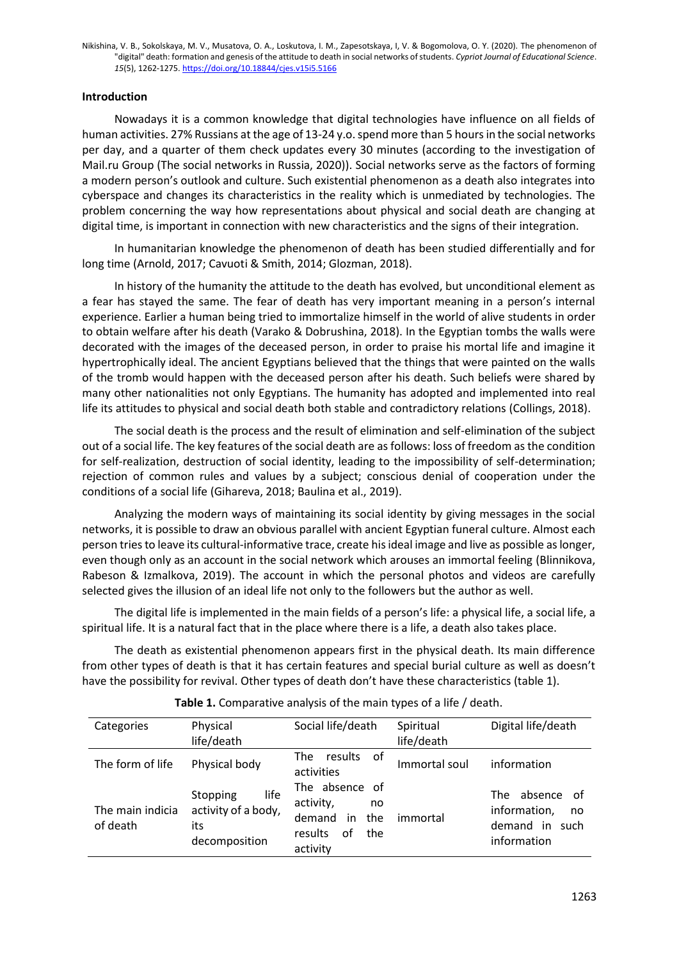## **Introduction**

Nowadays it is a common knowledge that digital technologies have influence on all fields of human activities. 27% Russians at the age of 13-24 y.o. spend more than 5 hours in the social networks per day, and a quarter of them check updates every 30 minutes (according to the investigation of Mail.ru Group (The social networks in Russia, 2020)). Social networks serve as the factors of forming a modern person's outlook and culture. Such existential phenomenon as a death also integrates into cyberspace and changes its characteristics in the reality which is unmediated by technologies. The problem concerning the way how representations about physical and social death are changing at digital time, is important in connection with new characteristics and the signs of their integration.

In humanitarian knowledge the phenomenon of death has been studied differentially and for long time (Arnold, 2017; Cavuoti & Smith, 2014; Glozman, 2018).

In history of the humanity the attitude to the death has evolved, but unconditional element as a fear has stayed the same. The fear of death has very important meaning in a person's internal experience. Earlier a human being tried to immortalize himself in the world of alive students in order to obtain welfare after his death (Varako & Dobrushina, 2018). In the Egyptian tombs the walls were decorated with the images of the deceased person, in order to praise his mortal life and imagine it hypertrophically ideal. The ancient Egyptians believed that the things that were painted on the walls of the tromb would happen with the deceased person after his death. Such beliefs were shared by many other nationalities not only Egyptians. The humanity has adopted and implemented into real life its attitudes to physical and social death both stable and contradictory relations (Collings, 2018).

The social death is the process and the result of elimination and self-elimination of the subject out of a social life. The key features of the social death are as follows: loss of freedom as the condition for self-realization, destruction of social identity, leading to the impossibility of self-determination; rejection of common rules and values by a subject; conscious denial of cooperation under the conditions of a social life (Gihareva, 2018; Baulina et al., 2019).

Analyzing the modern ways of maintaining its social identity by giving messages in the social networks, it is possible to draw an obvious parallel with ancient Egyptian funeral culture. Almost each person tries to leave its cultural-informative trace, create his ideal image and live as possible as longer, even though only as an account in the social network which arouses an immortal feeling (Blinnikova, Rabeson & Izmalkova, 2019). The account in which the personal photos and videos are carefully selected gives the illusion of an ideal life not only to the followers but the author as well.

The digital life is implemented in the main fields of a person's life: a physical life, a social life, a spiritual life. It is a natural fact that in the place where there is a life, a death also takes place.

The death as existential phenomenon appears first in the physical death. Its main difference from other types of death is that it has certain features and special burial culture as well as doesn't have the possibility for revival. Other types of death don't have these characteristics (table 1).

| Categories                   | Physical                                                        | Social life/death                                                                            | Spiritual     | Digital life/death                                                          |
|------------------------------|-----------------------------------------------------------------|----------------------------------------------------------------------------------------------|---------------|-----------------------------------------------------------------------------|
|                              | life/death                                                      |                                                                                              | life/death    |                                                                             |
| The form of life             | Physical body                                                   | The<br>0f<br>results<br>activities                                                           | Immortal soul | information                                                                 |
| The main indicia<br>of death | life<br>Stopping<br>activity of a body,<br>its<br>decomposition | The absence of<br>activity,<br>no<br>in<br>the<br>demand<br>of<br>results<br>the<br>activity | immortal      | absence of<br>The<br>information,<br>no<br>demand<br>in such<br>information |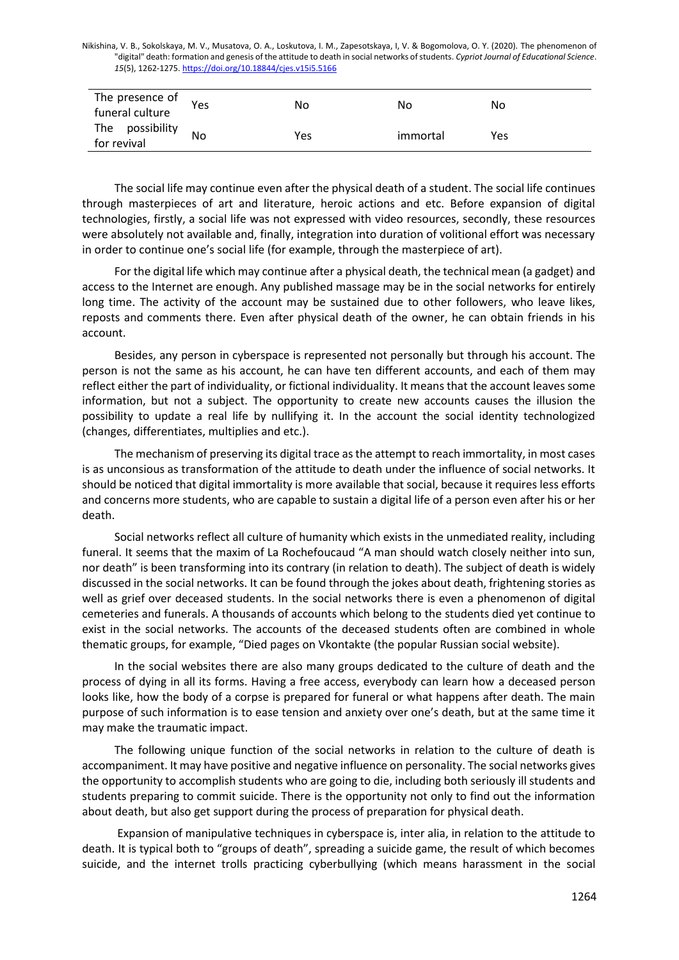| The presence of<br>funeral culture | Yes | No  | No       | No  |
|------------------------------------|-----|-----|----------|-----|
| The possibility<br>for revival     | No  | Yes | immortal | Yes |

The social life may continue even after the physical death of a student. The social life continues through masterpieces of art and literature, heroic actions and etc. Before expansion of digital technologies, firstly, a social life was not expressed with video resources, secondly, these resources were absolutely not available and, finally, integration into duration of volitional effort was necessary in order to continue one's social life (for example, through the masterpiece of art).

For the digital life which may continue after a physical death, the technical mean (a gadget) and access to the Internet are enough. Any published massage may be in the social networks for entirely long time. The activity of the account may be sustained due to other followers, who leave likes, reposts and comments there. Even after physical death of the owner, he can obtain friends in his account.

Besides, any person in cyberspace is represented not personally but through his account. The person is not the same as his account, he can have ten different accounts, and each of them may reflect either the part of individuality, or fictional individuality. It means that the account leaves some information, but not a subject. The opportunity to create new accounts causes the illusion the possibility to update a real life by nullifying it. In the account the social identity technologized (changes, differentiates, multiplies and etc.).

The mechanism of preserving its digital trace as the attempt to reach immortality, in most cases is as unconsious as transformation of the attitude to death under the influence of social networks. It should be noticed that digital immortality is more available that social, because it requires less efforts and concerns more students, who are capable to sustain a digital life of a person even after his or her death.

Social networks reflect all culture of humanity which exists in the unmediated reality, including funeral. It seems that the maxim of La Rochefoucaud "A man should watch closely neither into sun, nor death" is been transforming into its contrary (in relation to death). The subject of death is widely discussed in the social networks. It can be found through the jokes about death, frightening stories as well as grief over deceased students. In the social networks there is even a phenomenon of digital cemeteries and funerals. A thousands of accounts which belong to the students died yet continue to exist in the social networks. The accounts of the deceased students often are combined in whole thematic groups, for example, "Died pages on Vkontakte (the popular Russian social website).

In the social websites there are also many groups dedicated to the culture of death and the process of dying in all its forms. Having a free access, everybody can learn how a deceased person looks like, how the body of a corpse is prepared for funeral or what happens after death. The main purpose of such information is to ease tension and anxiety over one's death, but at the same time it may make the traumatic impact.

The following unique function of the social networks in relation to the culture of death is accompaniment. It may have positive and negative influence on personality. The social networks gives the opportunity to accomplish students who are going to die, including both seriously ill students and students preparing to commit suicide. There is the opportunity not only to find out the information about death, but also get support during the process of preparation for physical death.

Expansion of manipulative techniques in cyberspace is, inter alia, in relation to the attitude to death. It is typical both to "groups of death", spreading a suicide game, the result of which becomes suicide, and the internet trolls practicing cyberbullying (which means harassment in the social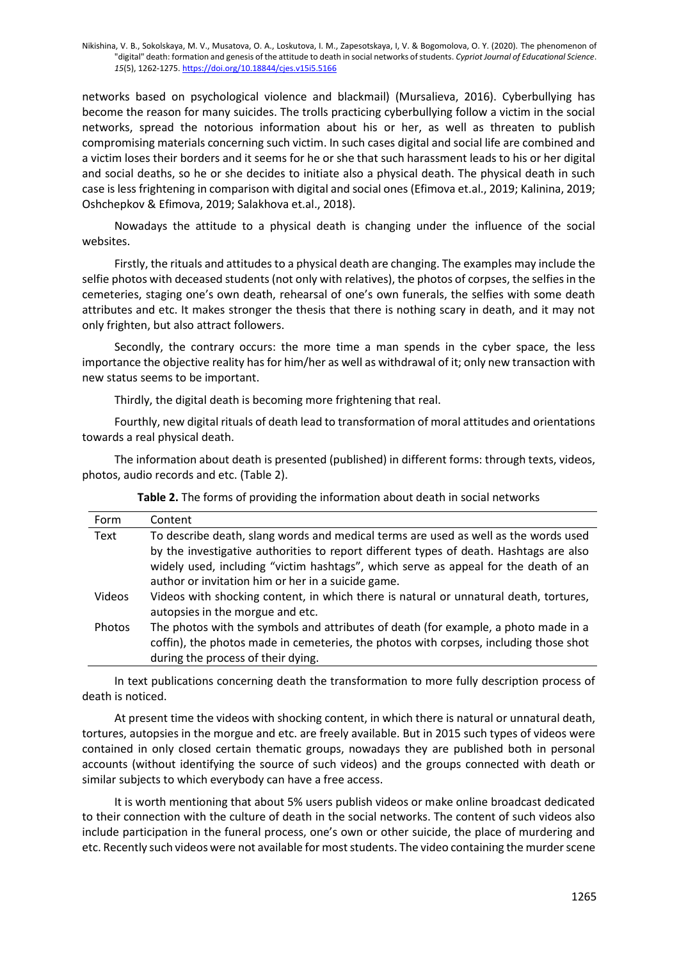networks based on psychological violence and blackmail) (Mursalieva, 2016). Cyberbullying has become the reason for many suicides. The trolls practicing cyberbullying follow a victim in the social networks, spread the notorious information about his or her, as well as threaten to publish compromising materials concerning such victim. In such cases digital and social life are combined and a victim loses their borders and it seems for he or she that such harassment leads to his or her digital and social deaths, so he or she decides to initiate also a physical death. The physical death in such case is less frightening in comparison with digital and social ones (Efimova et.al., 2019; Kalinina, 2019; Oshchepkov & Efimova, 2019; Salakhova et.al., 2018).

Nowadays the attitude to a physical death is changing under the influence of the social websites.

Firstly, the rituals and attitudes to a physical death are changing. The examples may include the selfie photos with deceased students (not only with relatives), the photos of corpses, the selfies in the cemeteries, staging one's own death, rehearsal of one's own funerals, the selfies with some death attributes and etc. It makes stronger the thesis that there is nothing scary in death, and it may not only frighten, but also attract followers.

Secondly, the contrary occurs: the more time a man spends in the cyber space, the less importance the objective reality has for him/her as well as withdrawal of it; only new transaction with new status seems to be important.

Thirdly, the digital death is becoming more frightening that real.

Fourthly, new digital rituals of death lead to transformation of moral attitudes and orientations towards a real physical death.

The information about death is presented (published) in different forms: through texts, videos, photos, audio records and etc. (Table 2).

| Form   | Content                                                                                |
|--------|----------------------------------------------------------------------------------------|
| Text   | To describe death, slang words and medical terms are used as well as the words used    |
|        | by the investigative authorities to report different types of death. Hashtags are also |
|        | widely used, including "victim hashtags", which serve as appeal for the death of an    |
|        | author or invitation him or her in a suicide game.                                     |
| Videos | Videos with shocking content, in which there is natural or unnatural death, tortures,  |
|        | autopsies in the morgue and etc.                                                       |
| Photos | The photos with the symbols and attributes of death (for example, a photo made in a    |
|        | coffin), the photos made in cemeteries, the photos with corpses, including those shot  |
|        | during the process of their dying.                                                     |

**Table 2.** The forms of providing the information about death in social networks

In text publications concerning death the transformation to more fully description process of death is noticed.

At present time the videos with shocking content, in which there is natural or unnatural death, tortures, autopsies in the morgue and etc. are freely available. But in 2015 such types of videos were contained in only closed certain thematic groups, nowadays they are published both in personal accounts (without identifying the source of such videos) and the groups connected with death or similar subjects to which everybody can have a free access.

It is worth mentioning that about 5% users publish videos or make online broadcast dedicated to their connection with the culture of death in the social networks. The content of such videos also include participation in the funeral process, one's own or other suicide, the place of murdering and etc. Recently such videos were not available for most students. The video containing the murder scene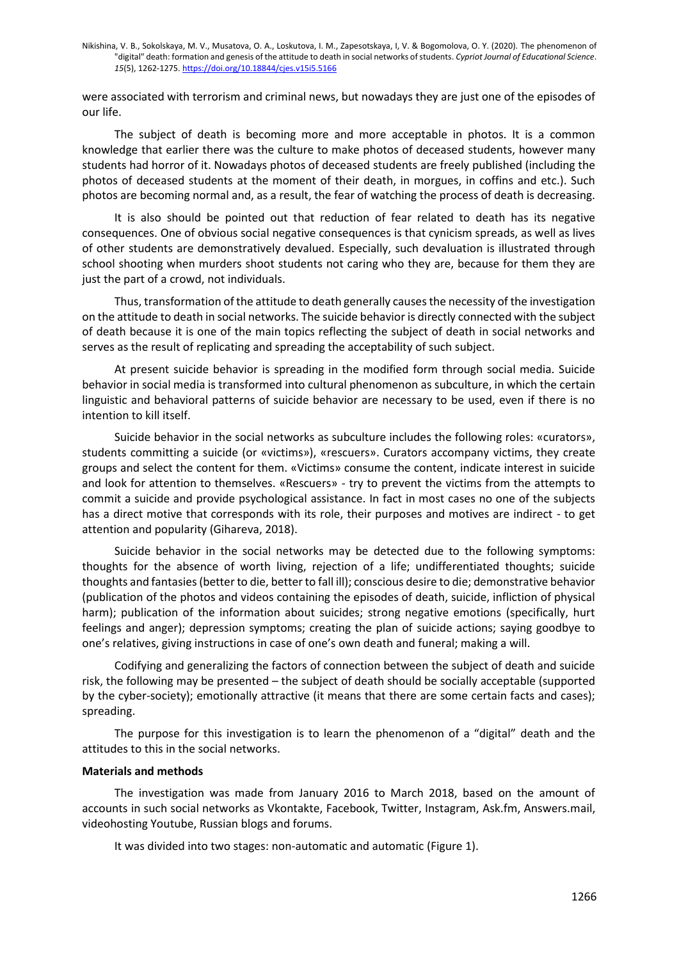were associated with terrorism and criminal news, but nowadays they are just one of the episodes of our life.

The subject of death is becoming more and more acceptable in photos. It is a common knowledge that earlier there was the culture to make photos of deceased students, however many students had horror of it. Nowadays photos of deceased students are freely published (including the photos of deceased students at the moment of their death, in morgues, in coffins and etc.). Such photos are becoming normal and, as a result, the fear of watching the process of death is decreasing.

It is also should be pointed out that reduction of fear related to death has its negative consequences. One of obvious social negative consequences is that cynicism spreads, as well as lives of other students are demonstratively devalued. Especially, such devaluation is illustrated through school shooting when murders shoot students not caring who they are, because for them they are just the part of a crowd, not individuals.

Thus, transformation of the attitude to death generally causes the necessity of the investigation on the attitude to death in social networks. The suicide behavior is directly connected with the subject of death because it is one of the main topics reflecting the subject of death in social networks and serves as the result of replicating and spreading the acceptability of such subject.

At present suicide behavior is spreading in the modified form through social media. Suicide behavior in social media is transformed into cultural phenomenon as subculture, in which the certain linguistic and behavioral patterns of suicide behavior are necessary to be used, even if there is no intention to kill itself.

Suicide behavior in the social networks as subculture includes the following roles: «curators», students committing a suicide (or «victims»), «rescuers». Curators accompany victims, they create groups and select the content for them. «Victims» consume the content, indicate interest in suicide and look for attention to themselves. «Rescuers» - try to prevent the victims from the attempts to commit a suicide and provide psychological assistance. In fact in most cases no one of the subjects has a direct motive that corresponds with its role, their purposes and motives are indirect - to get attention and popularity (Gihareva, 2018).

Suicide behavior in the social networks may be detected due to the following symptoms: thoughts for the absence of worth living, rejection of a life; undifferentiated thoughts; suicide thoughts and fantasies (better to die, better to fall ill); conscious desire to die; demonstrative behavior (publication of the photos and videos containing the episodes of death, suicide, infliction of physical harm); publication of the information about suicides; strong negative emotions (specifically, hurt feelings and anger); depression symptoms; creating the plan of suicide actions; saying goodbye to one's relatives, giving instructions in case of one's own death and funeral; making a will.

Codifying and generalizing the factors of connection between the subject of death and suicide risk, the following may be presented – the subject of death should be socially acceptable (supported by the cyber-society); emotionally attractive (it means that there are some certain facts and cases); spreading.

The purpose for this investigation is to learn the phenomenon of a "digital" death and the attitudes to this in the social networks.

### **Materials and methods**

The investigation was made from January 2016 to March 2018, based on the amount of accounts in such social networks as Vkontakte, Facebook, Twitter, Instagram, Ask.fm, Answers.mail, videohosting Youtube, Russian blogs and forums.

It was divided into two stages: non-automatic and automatic (Figure 1).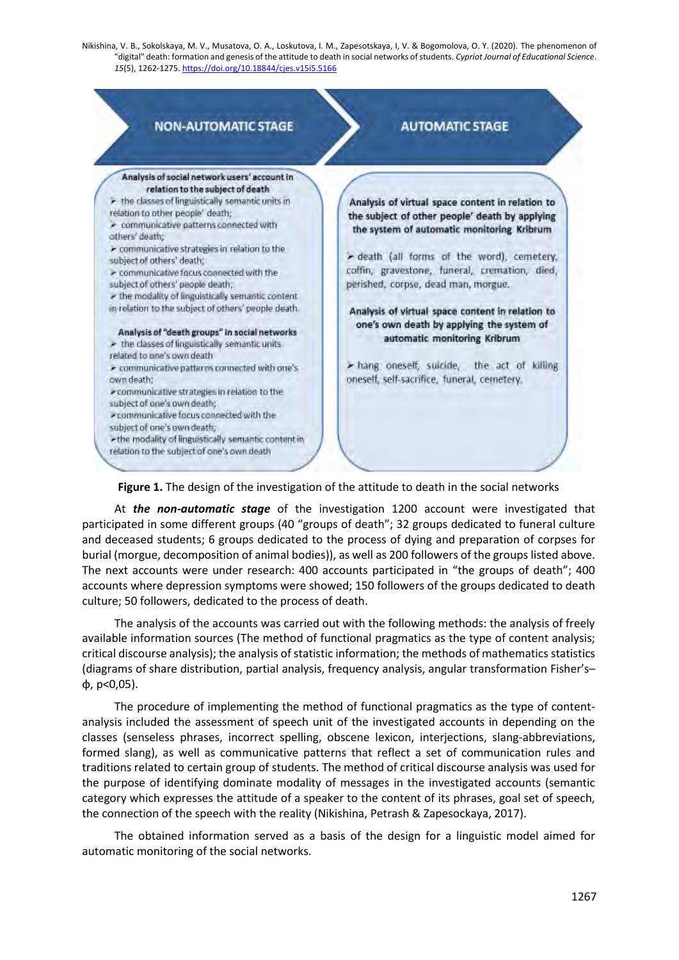

**Figure 1.** The design of the investigation of the attitude to death in the social networks

At *the non-automatic stage* of the investigation 1200 account were investigated that participated in some different groups (40 "groups of death"; 32 groups dedicated to funeral culture and deceased students; 6 groups dedicated to the process of dying and preparation of corpses for burial (morgue, decomposition of animal bodies)), as well as 200 followers of the groups listed above. The next accounts were under research: 400 accounts participated in "the groups of death"; 400 accounts where depression symptoms were showed; 150 followers of the groups dedicated to death culture; 50 followers, dedicated to the process of death.

The analysis of the accounts was carried out with the following methods: the analysis of freely available information sources (The method of functional pragmatics as the type of content analysis; critical discourse analysis); the analysis of statistic information; the methods of mathematics statistics (diagrams of share distribution, partial analysis, frequency analysis, angular transformation Fisher's– φ, р˂0,05).

The procedure of implementing the method of functional pragmatics as the type of contentanalysis included the assessment of speech unit of the investigated accounts in depending on the classes (senseless phrases, incorrect spelling, obscene lexicon, interjections, slang-abbreviations, formed slang), as well as communicative patterns that reflect a set of communication rules and traditions related to certain group of students. The method of critical discourse analysis was used for the purpose of identifying dominate modality of messages in the investigated accounts (semantic category which expresses the attitude of a speaker to the content of its phrases, goal set of speech, the connection of the speech with the reality (Nikishina, Petrash & Zapesockaya, 2017).

The obtained information served as a basis of the design for a linguistic model aimed for automatic monitoring of the social networks.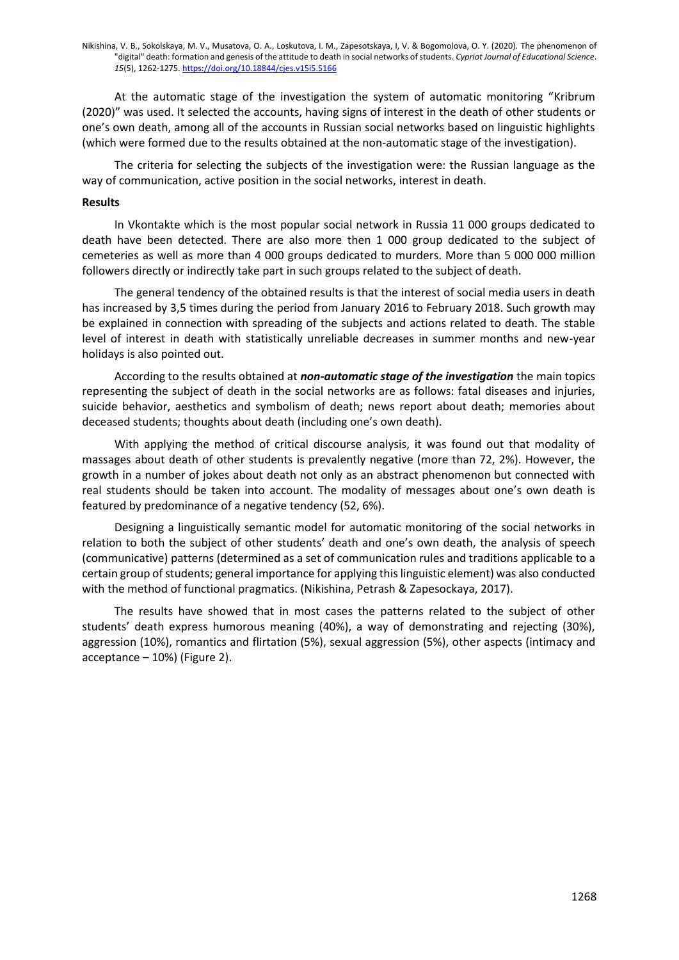At the automatic stage of the investigation the system of automatic monitoring "Kribrum (2020)" was used. It selected the accounts, having signs of interest in the death of other students or one's own death, among all of the accounts in Russian social networks based on linguistic highlights (which were formed due to the results obtained at the non-automatic stage of the investigation).

The criteria for selecting the subjects of the investigation were: the Russian language as the way of communication, active position in the social networks, interest in death.

#### **Results**

In Vkontakte which is the most popular social network in Russia 11 000 groups dedicated to death have been detected. There are also more then 1 000 group dedicated to the subject of cemeteries as well as more than 4 000 groups dedicated to murders. More than 5 000 000 million followers directly or indirectly take part in such groups related to the subject of death.

The general tendency of the obtained results is that the interest of social media users in death has increased by 3,5 times during the period from January 2016 to February 2018. Such growth may be explained in connection with spreading of the subjects and actions related to death. The stable level of interest in death with statistically unreliable decreases in summer months and new-year holidays is also pointed out.

According to the results obtained at *non-automatic stage of the investigation* the main topics representing the subject of death in the social networks are as follows: fatal diseases and injuries, suicide behavior, aesthetics and symbolism of death; news report about death; memories about deceased students; thoughts about death (including one's own death).

With applying the method of critical discourse analysis, it was found out that modality of massages about death of other students is prevalently negative (more than 72, 2%). However, the growth in a number of jokes about death not only as an abstract phenomenon but connected with real students should be taken into account. The modality of messages about one's own death is featured by predominance of a negative tendency (52, 6%).

Designing a linguistically semantic model for automatic monitoring of the social networks in relation to both the subject of other students' death and one's own death, the analysis of speech (communicative) patterns (determined as a set of communication rules and traditions applicable to a certain group of students; general importance for applying this linguistic element) was also conducted with the method of functional pragmatics. (Nikishina, Petrash & Zapesockaya, 2017).

The results have showed that in most cases the patterns related to the subject of other students' death express humorous meaning (40%), a way of demonstrating and rejecting (30%), aggression (10%), romantics and flirtation (5%), sexual aggression (5%), other aspects (intimacy and acceptance – 10%) (Figure 2).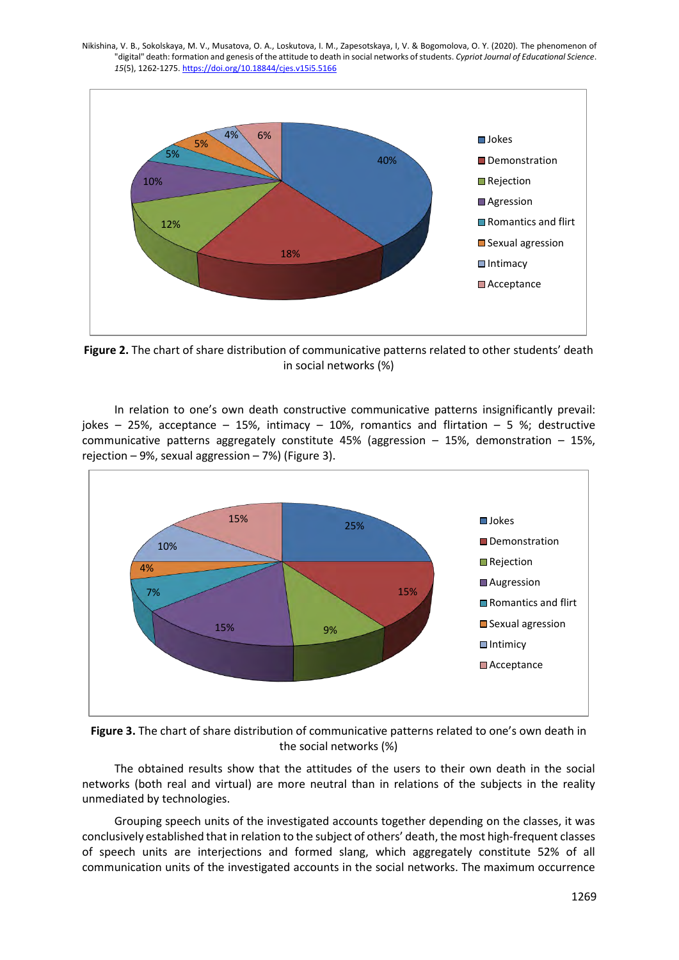

**Figure 2.** The chart of share distribution of communicative patterns related to other students' death in social networks (%)

In relation to one's own death constructive communicative patterns insignificantly prevail: jokes – 25%, acceptance – 15%, intimacy – 10%, romantics and flirtation – 5 %; destructive communicative patterns aggregately constitute 45% (aggression – 15%, demonstration – 15%, rejection – 9%, sexual aggression – 7%) (Figure 3).





The obtained results show that the attitudes of the users to their own death in the social networks (both real and virtual) are more neutral than in relations of the subjects in the reality unmediated by technologies.

Grouping speech units of the investigated accounts together depending on the classes, it was conclusively established that in relation to the subject of others' death, the most high-frequent classes of speech units are interjections and formed slang, which aggregately constitute 52% of all communication units of the investigated accounts in the social networks. The maximum occurrence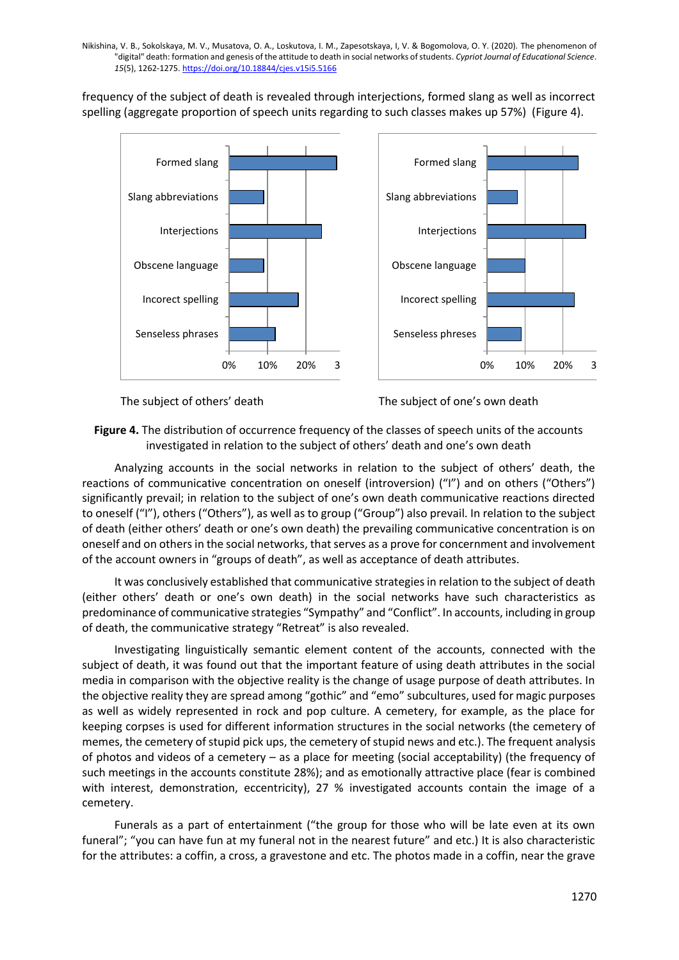frequency of the subject of death is revealed through interjections, formed slang as well as incorrect spelling (aggregate proportion of speech units regarding to such classes makes up 57%) (Figure 4).



The subject of others' death The subject of one's own death

**Figure 4.** The distribution of occurrence frequency of the classes of speech units of the accounts investigated in relation to the subject of others' death and one's own death

Analyzing accounts in the social networks in relation to the subject of others' death, the reactions of communicative concentration on oneself (introversion) ("I") and on others ("Others") significantly prevail; in relation to the subject of one's own death communicative reactions directed to oneself ("I"), others ("Others"), as well as to group ("Group") also prevail. In relation to the subject of death (either others' death or one's own death) the prevailing communicative concentration is on oneself and on others in the social networks, that serves as a prove for concernment and involvement of the account owners in "groups of death", as well as acceptance of death attributes.

It was conclusively established that communicative strategies in relation to the subject of death (either others' death or one's own death) in the social networks have such characteristics as predominance of communicative strategies "Sympathy" and "Conflict". In accounts, including in group of death, the communicative strategy "Retreat" is also revealed.

Investigating linguistically semantic element content of the accounts, connected with the subject of death, it was found out that the important feature of using death attributes in the social media in comparison with the objective reality is the change of usage purpose of death attributes. In the objective reality they are spread among "gothic" and "emo" subcultures, used for magic purposes as well as widely represented in rock and pop culture. A cemetery, for example, as the place for keeping corpses is used for different information structures in the social networks (the cemetery of memes, the cemetery of stupid pick ups, the cemetery of stupid news and etc.). The frequent analysis of photos and videos of a cemetery – as a place for meeting (social acceptability) (the frequency of such meetings in the accounts constitute 28%); and as emotionally attractive place (fear is combined with interest, demonstration, eccentricity), 27 % investigated accounts contain the image of a cemetery.

Funerals as a part of entertainment ("the group for those who will be late even at its own funeral"; "you can have fun at my funeral not in the nearest future" and etc.) It is also characteristic for the attributes: a coffin, a cross, a gravestone and etc. The photos made in a coffin, near the grave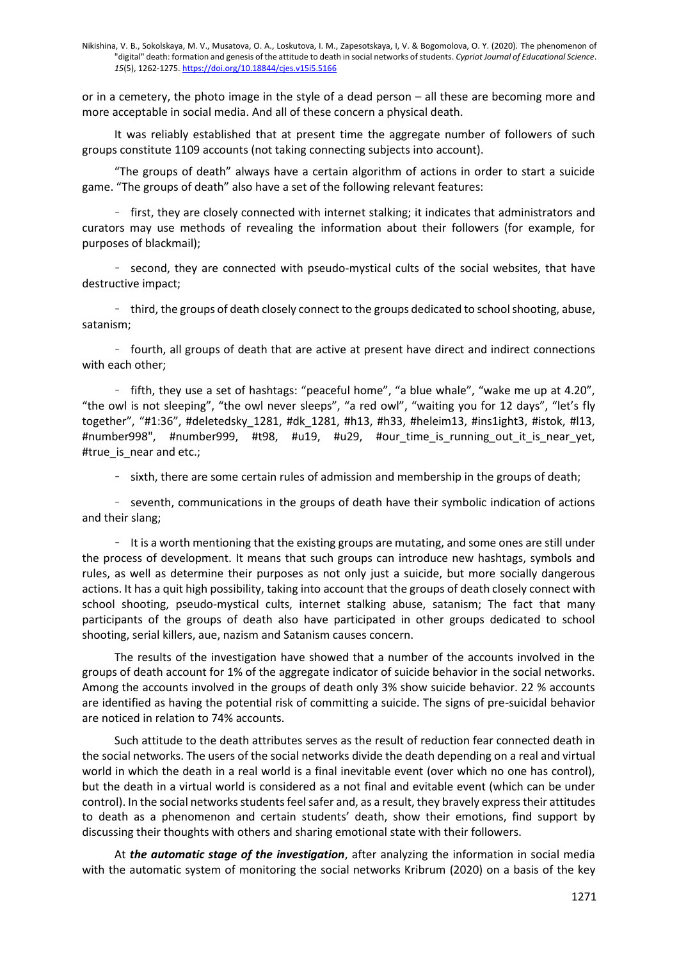or in a cemetery, the photo image in the style of a dead person – all these are becoming more and more acceptable in social media. And all of these concern a physical death.

It was reliably established that at present time the aggregate number of followers of such groups constitute 1109 accounts (not taking connecting subjects into account).

"The groups of death" always have a certain algorithm of actions in order to start a suicide game. "The groups of death" also have a set of the following relevant features:

- first, they are closely connected with internet stalking; it indicates that administrators and curators may use methods of revealing the information about their followers (for example, for purposes of blackmail);

- second, they are connected with pseudo-mystical cults of the social websites, that have destructive impact;

- third, the groups of death closely connect to the groups dedicated to school shooting, abuse, satanism;

- fourth, all groups of death that are active at present have direct and indirect connections with each other;

- fifth, they use a set of hashtags: "peaceful home", "a blue whale", "wake me up at 4.20", "the owl is not sleeping", "the owl never sleeps", "a red owl", "waiting you for 12 days", "let's fly together", "#1:36", #deletedsky\_1281, #dk\_1281, #h13, #h33, #heleim13, #ins1ight3, #istok, #l13, #number998", #number999, #t98, #u19, #u29, #our\_time\_is\_running\_out\_it\_is\_near\_yet, #true\_is\_near and etc.;

- sixth, there are some certain rules of admission and membership in the groups of death;

- seventh, communications in the groups of death have their symbolic indication of actions and their slang;

- It is a worth mentioning that the existing groups are mutating, and some ones are still under the process of development. It means that such groups can introduce new hashtags, symbols and rules, as well as determine their purposes as not only just a suicide, but more socially dangerous actions. It has a quit high possibility, taking into account that the groups of death closely connect with school shooting, pseudo-mystical cults, internet stalking abuse, satanism; The fact that many participants of the groups of death also have participated in other groups dedicated to school shooting, serial killers, aue, nazism and Satanism causes concern.

The results of the investigation have showed that a number of the accounts involved in the groups of death account for 1% of the aggregate indicator of suicide behavior in the social networks. Among the accounts involved in the groups of death only 3% show suicide behavior. 22 % accounts are identified as having the potential risk of committing a suicide. The signs of pre-suicidal behavior are noticed in relation to 74% accounts.

Such attitude to the death attributes serves as the result of reduction fear connected death in the social networks. The users of the social networks divide the death depending on a real and virtual world in which the death in a real world is a final inevitable event (over which no one has control), but the death in a virtual world is considered as a not final and evitable event (which can be under control). In the social networks studentsfeel safer and, as a result, they bravely express their attitudes to death as a phenomenon and certain students' death, show their emotions, find support by discussing their thoughts with others and sharing emotional state with their followers.

At *the automatic stage of the investigation*, after analyzing the information in social media with the automatic system of monitoring the social networks Kribrum (2020) on a basis of the key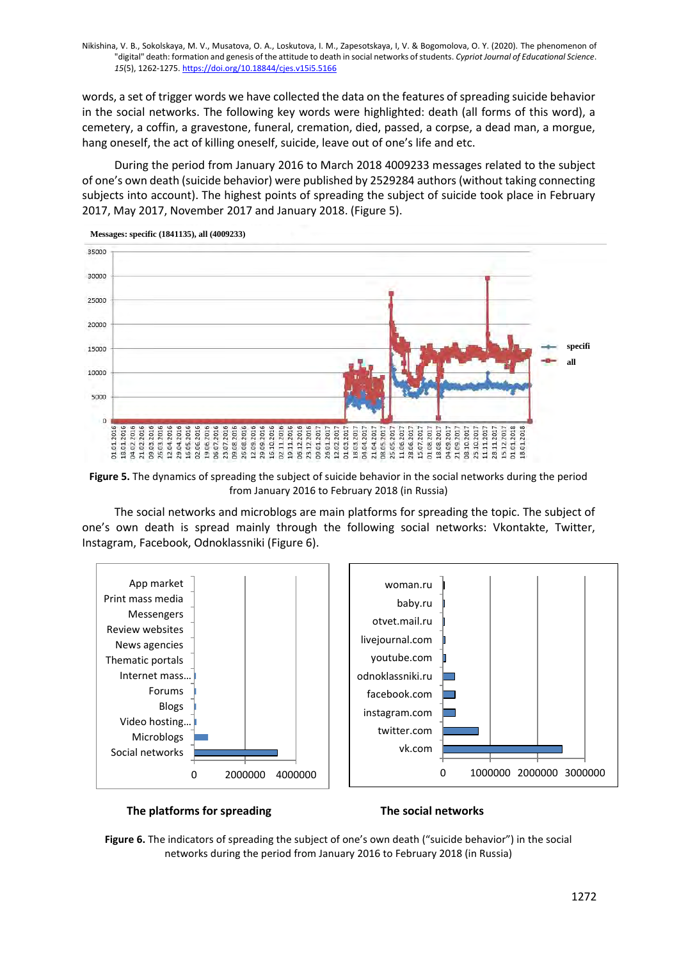words, a set of trigger words we have collected the data on the features of spreading suicide behavior in the social networks. The following key words were highlighted: death (all forms of this word), a cemetery, a coffin, a gravestone, funeral, cremation, died, passed, a corpse, a dead man, a morgue, hang oneself, the act of killing oneself, suicide, leave out of one's life and etc.

During the period from January 2016 to March 2018 4009233 messages related to the subject of one's own death (suicide behavior) were published by 2529284 authors (without taking connecting subjects into account). The highest points of spreading the subject of suicide took place in February 2017, May 2017, November 2017 and January 2018. (Figure 5).



**Messages: specific (1841135), all (4009233)**

**Figure 5.** The dynamics of spreading the subject of suicide behavior in the social networks during the period from January 2016 to February 2018 (in Russia)

The social networks and microblogs are main platforms for spreading the topic. The subject of one's own death is spread mainly through the following social networks: Vkontakte, Twitter, Instagram, Facebook, Odnoklassniki (Figure 6).



#### **The platforms for spreading The social networks**

**Figure 6.** The indicators of spreading the subject of one's own death ("suicide behavior") in the social networks during the period from January 2016 to February 2018 (in Russia)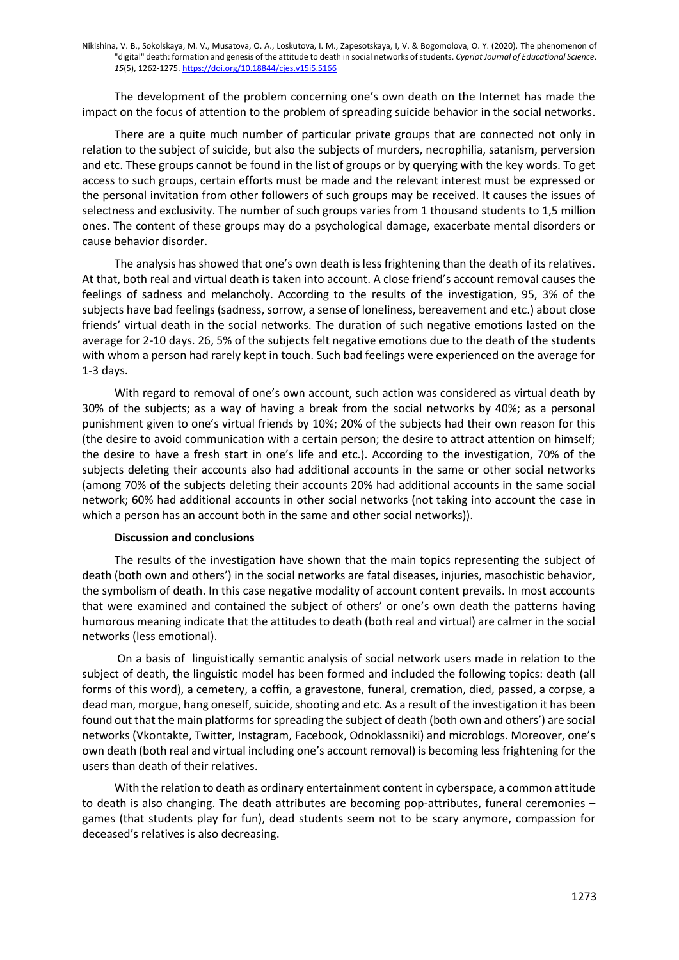The development of the problem concerning one's own death on the Internet has made the impact on the focus of attention to the problem of spreading suicide behavior in the social networks.

There are a quite much number of particular private groups that are connected not only in relation to the subject of suicide, but also the subjects of murders, necrophilia, satanism, perversion and etc. These groups cannot be found in the list of groups or by querying with the key words. To get access to such groups, certain efforts must be made and the relevant interest must be expressed or the personal invitation from other followers of such groups may be received. It causes the issues of selectness and exclusivity. The number of such groups varies from 1 thousand students to 1,5 million ones. The content of these groups may do a psychological damage, exacerbate mental disorders or cause behavior disorder.

The analysis has showed that one's own death is less frightening than the death of its relatives. At that, both real and virtual death is taken into account. A close friend's account removal causes the feelings of sadness and melancholy. According to the results of the investigation, 95, 3% of the subjects have bad feelings (sadness, sorrow, a sense of loneliness, bereavement and etc.) about close friends' virtual death in the social networks. The duration of such negative emotions lasted on the average for 2-10 days. 26, 5% of the subjects felt negative emotions due to the death of the students with whom a person had rarely kept in touch. Such bad feelings were experienced on the average for 1-3 days.

With regard to removal of one's own account, such action was considered as virtual death by 30% of the subjects; as a way of having a break from the social networks by 40%; as a personal punishment given to one's virtual friends by 10%; 20% of the subjects had their own reason for this (the desire to avoid communication with a certain person; the desire to attract attention on himself; the desire to have a fresh start in one's life and etc.). According to the investigation, 70% of the subjects deleting their accounts also had additional accounts in the same or other social networks (among 70% of the subjects deleting their accounts 20% had additional accounts in the same social network; 60% had additional accounts in other social networks (not taking into account the case in which a person has an account both in the same and other social networks)).

#### **Discussion and conclusions**

The results of the investigation have shown that the main topics representing the subject of death (both own and others') in the social networks are fatal diseases, injuries, masochistic behavior, the symbolism of death. In this case negative modality of account content prevails. In most accounts that were examined and contained the subject of others' or one's own death the patterns having humorous meaning indicate that the attitudes to death (both real and virtual) are calmer in the social networks (less emotional).

On a basis of linguistically semantic analysis of social network users made in relation to the subject of death, the linguistic model has been formed and included the following topics: death (all forms of this word), a cemetery, a coffin, a gravestone, funeral, cremation, died, passed, a corpse, a dead man, morgue, hang oneself, suicide, shooting and etc. As a result of the investigation it has been found out that the main platforms for spreading the subject of death (both own and others') are social networks (Vkontakte, Twitter, Instagram, Facebook, Odnoklassniki) and microblogs. Moreover, one's own death (both real and virtual including one's account removal) is becoming less frightening for the users than death of their relatives.

With the relation to death as ordinary entertainment content in cyberspace, a common attitude to death is also changing. The death attributes are becoming pop-attributes, funeral ceremonies – games (that students play for fun), dead students seem not to be scary anymore, compassion for deceased's relatives is also decreasing.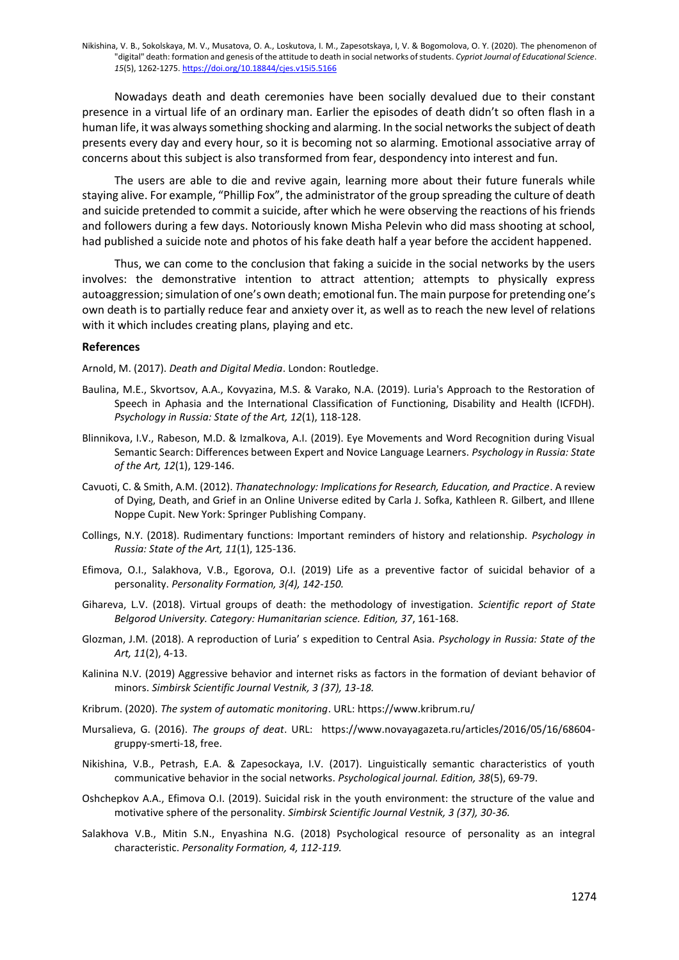Nowadays death and death ceremonies have been socially devalued due to their constant presence in a virtual life of an ordinary man. Earlier the episodes of death didn't so often flash in a human life, it was always something shocking and alarming. In the social networks the subject of death presents every day and every hour, so it is becoming not so alarming. Emotional associative array of concerns about this subject is also transformed from fear, despondency into interest and fun.

The users are able to die and revive again, learning more about their future funerals while staying alive. For example, "Phillip Fox", the administrator of the group spreading the culture of death and suicide pretended to commit a suicide, after which he were observing the reactions of his friends and followers during a few days. Notoriously known Misha Pelevin who did mass shooting at school, had published a suicide note and photos of his fake death half a year before the accident happened.

Thus, we can come to the conclusion that faking a suicide in the social networks by the users involves: the demonstrative intention to attract attention; attempts to physically express autoaggression; simulation of one's own death; emotional fun. The main purpose for pretending one's own death is to partially reduce fear and anxiety over it, as well as to reach the new level of relations with it which includes creating plans, playing and etc.

#### **References**

Arnold, M. (2017). *Death and Digital Media*. London: Routledge.

- Baulina, M.E., Skvortsov, A.A., Kovyazina, M.S. & Varako, N.A. (2019). Luria's Approach to the Restoration of Speech in Aphasia and the International Classification of Functioning, Disability and Health (ICFDH). *Psychology in Russia: State of the Art, 12*(1), 118-128.
- Blinnikova, I.V., Rabeson, M.D. & Izmalkova, A.I. (2019). Eye Movements and Word Recognition during Visual Semantic Search: Differences between Expert and Novice Language Learners. *Psychology in Russia: State of the Art, 12*(1), 129-146.
- Cavuoti, C. & Smith, A.M. (2012). *Thanatechnology: Implications for Research, Education, and Practice*. A review of Dying, Death, and Grief in an Online Universe edited by Carla J. Sofka, Kathleen R. Gilbert, and Illene Noppe Cupit. New York: Springer Publishing Company.
- Collings, N.Y. (2018). Rudimentary functions: Important reminders of history and relationship. *Psychology in Russia: State of the Art, 11*(1), 125-136.
- Efimova, O.I., Salakhova, V.B., Egorova, O.I. (2019) Life as a preventive factor of suicidal behavior of a personality. *Personality Formation, 3(4), 142-150.*
- Gihareva, L.V. (2018). Virtual groups of death: the methodology of investigation. *Scientific report of State Belgorod University. Category: Humanitarian science. Edition, 37*, 161-168.
- Glozman, J.M. (2018). A reproduction of Luria' s expedition to Central Asia. *Psychology in Russia: State of the Art, 11*(2), 4-13.
- Kalinina N.V. (2019) Aggressive behavior and internet risks as factors in the formation of deviant behavior of minors. *Simbirsk Scientific Journal Vestnik, 3 (37), 13-18.*
- Kribrum. (2020). *The system of automatic monitoring*. URL[: https://www.kribrum.ru/](https://www.kribrum.ru/)
- Mursalieva, G. (2016). *The groups of deat*. URL: [https://www.novayagazeta.ru/articles/2016/05/16/68604](https://www.novayagazeta.ru/articles/2016/05/16/68604-gruppy-smerti-18) [gruppy-smerti-18,](https://www.novayagazeta.ru/articles/2016/05/16/68604-gruppy-smerti-18) free.
- Nikishina, V.B., Petrash, E.A. & Zapesockaya, I.V. (2017). Linguistically semantic characteristics of youth communicative behavior in the social networks. *Psychological journal. Edition, 38*(5), 69-79.
- Oshchepkov A.A., Efimova O.I. (2019). Suicidal risk in the youth environment: the structure of the value and motivative sphere of the personality. *Simbirsk Scientific Journal Vestnik, 3 (37), 30-36.*
- Salakhova V.B., Mitin S.N., Enyashina N.G. (2018) Psychological resource of personality as an integral characteristic. *Personality Formation, 4, 112-119.*